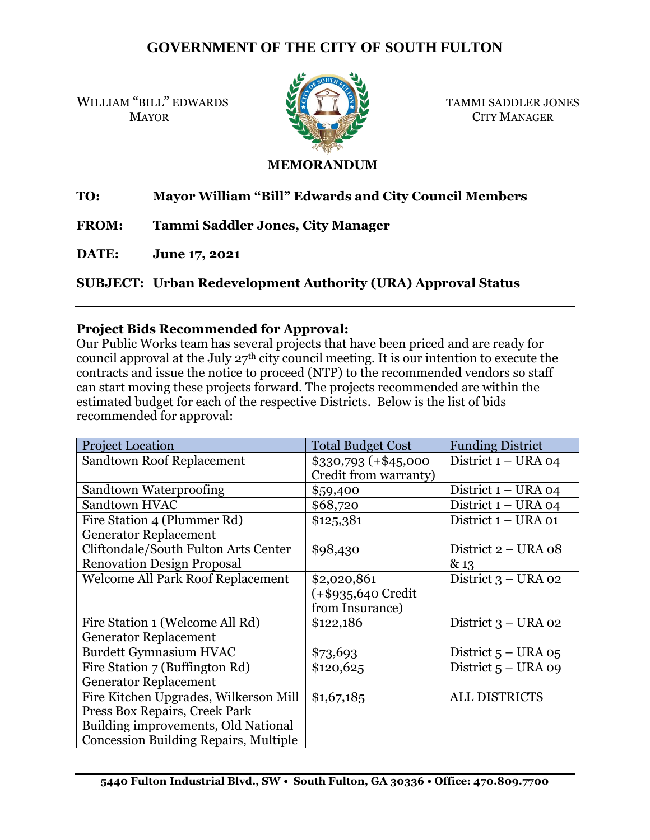# **GOVERNMENT OF THE CITY OF SOUTH FULTON**

WILLIAM "BILL" EDWARDS **WE FELL**" EDWARDS TAMMI SADDLER JONES



MAYOR CITY MANAGER

#### **MEMORANDUM**

## **TO: Mayor William "Bill" Edwards and City Council Members**

**FROM: Tammi Saddler Jones, City Manager**

**DATE: June 17, 2021**

**SUBJECT: Urban Redevelopment Authority (URA) Approval Status**

### **Project Bids Recommended for Approval:**

Our Public Works team has several projects that have been priced and are ready for council approval at the July 27th city council meeting. It is our intention to execute the contracts and issue the notice to proceed (NTP) to the recommended vendors so staff can start moving these projects forward. The projects recommended are within the estimated budget for each of the respective Districts. Below is the list of bids recommended for approval:

| <b>Project Location</b>                      | <b>Total Budget Cost</b>                       | <b>Funding District</b> |
|----------------------------------------------|------------------------------------------------|-------------------------|
| Sandtown Roof Replacement                    | $$330,793 (+ $45,000$<br>Credit from warranty) | District 1 - URA 04     |
| Sandtown Waterproofing                       | \$59,400                                       | District $1 - URA$ 04   |
| Sandtown HVAC                                | \$68,720                                       | District $1 - URA$ 04   |
| Fire Station 4 (Plummer Rd)                  | \$125,381                                      | District $1 - URA$ 01   |
| <b>Generator Replacement</b>                 |                                                |                         |
| Cliftondale/South Fulton Arts Center         | \$98,430                                       | District 2 – URA 08     |
| <b>Renovation Design Proposal</b>            |                                                | & 13                    |
| <b>Welcome All Park Roof Replacement</b>     | \$2,020,861                                    | District $3 - URA$ 02   |
|                                              | $(+\$935,640$ Credit                           |                         |
|                                              | from Insurance)                                |                         |
| Fire Station 1 (Welcome All Rd)              | \$122,186                                      | District $3 - URA$ 02   |
| <b>Generator Replacement</b>                 |                                                |                         |
| <b>Burdett Gymnasium HVAC</b>                | \$73,693                                       | District $5 - URA$ 05   |
| Fire Station 7 (Buffington Rd)               | \$120,625                                      | District $5 - URA$ 09   |
| <b>Generator Replacement</b>                 |                                                |                         |
| Fire Kitchen Upgrades, Wilkerson Mill        | \$1,67,185                                     | <b>ALL DISTRICTS</b>    |
| Press Box Repairs, Creek Park                |                                                |                         |
| Building improvements, Old National          |                                                |                         |
| <b>Concession Building Repairs, Multiple</b> |                                                |                         |